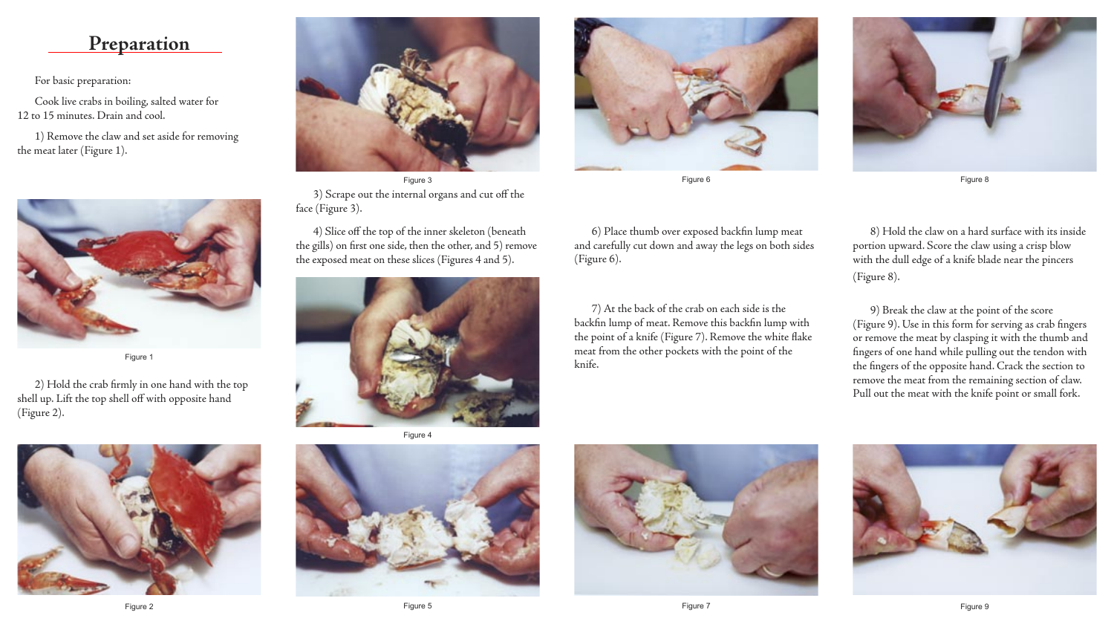2) Hold the crab firmly in one hand with the top shell up. Lift the top shell off with opposite hand (Figure 2).





Figure 1



Figure 3 3) Scrape out the internal organs and cut off the face (Figure 3).

4) Slice off the top of the inner skeleton (beneath the gills) on first one side, then the other, and 5) remove the exposed meat on these slices (Figures 4 and 5).





Figure 8

6) Place thumb over exposed backfin lump meat and carefully cut down and away the legs on both sides (Figure 6).

7) At the back of the crab on each side is the backfin lump of meat. Remove this backfin lump with the point of a knife (Figure 7). Remove the white flake meat from the other pockets with the point of the knife.

8) Hold the claw on a hard surface with its inside portion upward. Score the claw using a crisp blow with the dull edge of a knife blade near the pincers (Figure 8).





9) Break the claw at the point of the score (Figure 9). Use in this form for serving as crab fingers or remove the meat by clasping it with the thumb and fingers of one hand while pulling out the tendon with the fingers of the opposite hand. Crack the section to remove the meat from the remaining section of claw. Pull out the meat with the knife point or small fork.





Figure 6

Figure 4



## **Preparation**

For basic preparation:

Cook live crabs in boiling, salted water for 12 to 15 minutes. Drain and cool.

1) Remove the claw and set aside for removing the meat later (Figure 1).